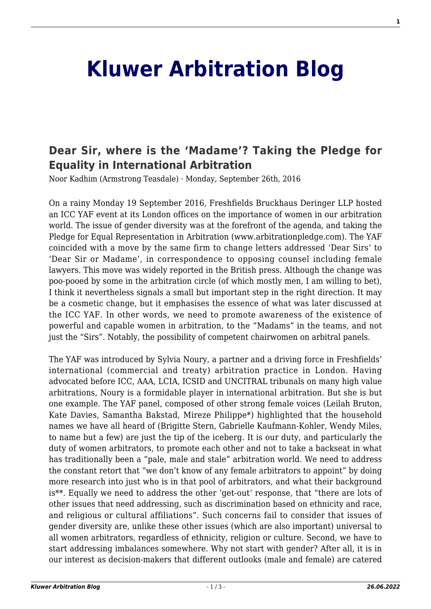# **[Kluwer Arbitration Blog](http://arbitrationblog.kluwerarbitration.com/)**

# **[Dear Sir, where is the 'Madame'? Taking the Pledge for](http://arbitrationblog.kluwerarbitration.com/2016/09/26/dear-sir-there-is-a-madam-taking-the-pledge-for-equality-in-international-arbitration/) [Equality in International Arbitration](http://arbitrationblog.kluwerarbitration.com/2016/09/26/dear-sir-there-is-a-madam-taking-the-pledge-for-equality-in-international-arbitration/)**

Noor Kadhim (Armstrong Teasdale) · Monday, September 26th, 2016

On a rainy Monday 19 September 2016, Freshfields Bruckhaus Deringer LLP hosted an ICC YAF event at its London offices on the importance of women in our arbitration world. The issue of gender diversity was at the forefront of the agenda, and taking the Pledge for Equal Representation in Arbitration (www.arbitrationpledge.com). The YAF coincided with a move by the same firm to change letters addressed 'Dear Sirs' to 'Dear Sir or Madame', in correspondence to opposing counsel including female lawyers. This move was widely reported in the British press. Although the change was poo-pooed by some in the arbitration circle (of which mostly men, I am willing to bet), I think it nevertheless signals a small but important step in the right direction. It may be a cosmetic change, but it emphasises the essence of what was later discussed at the ICC YAF. In other words, we need to promote awareness of the existence of powerful and capable women in arbitration, to the "Madams" in the teams, and not just the "Sirs". Notably, the possibility of competent chairwomen on arbitral panels.

The YAF was introduced by Sylvia Noury, a partner and a driving force in Freshfields' international (commercial and treaty) arbitration practice in London. Having advocated before ICC, AAA, LCIA, ICSID and UNCITRAL tribunals on many high value arbitrations, Noury is a formidable player in international arbitration. But she is but one example. The YAF panel, composed of other strong female voices (Leilah Bruton, Kate Davies, Samantha Bakstad, Mireze Philippe\*) highlighted that the household names we have all heard of (Brigitte Stern, Gabrielle Kaufmann-Kohler, Wendy Miles, to name but a few) are just the tip of the iceberg. It is our duty, and particularly the duty of women arbitrators, to promote each other and not to take a backseat in what has traditionally been a "pale, male and stale" arbitration world. We need to address the constant retort that "we don't know of any female arbitrators to appoint" by doing more research into just who is in that pool of arbitrators, and what their background is\*\*. Equally we need to address the other 'get-out' response, that "there are lots of other issues that need addressing, such as discrimination based on ethnicity and race, and religious or cultural affiliations". Such concerns fail to consider that issues of gender diversity are, unlike these other issues (which are also important) universal to all women arbitrators, regardless of ethnicity, religion or culture. Second, we have to start addressing imbalances somewhere. Why not start with gender? After all, it is in our interest as decision-makers that different outlooks (male and female) are catered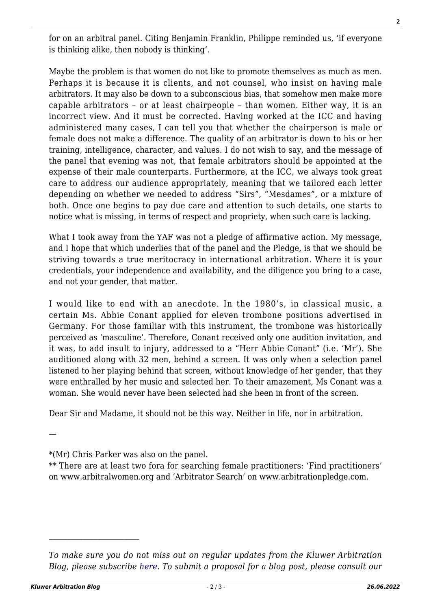for on an arbitral panel. Citing Benjamin Franklin, Philippe reminded us, 'if everyone is thinking alike, then nobody is thinking'.

Maybe the problem is that women do not like to promote themselves as much as men. Perhaps it is because it is clients, and not counsel, who insist on having male arbitrators. It may also be down to a subconscious bias, that somehow men make more capable arbitrators – or at least chairpeople – than women. Either way, it is an incorrect view. And it must be corrected. Having worked at the ICC and having administered many cases, I can tell you that whether the chairperson is male or female does not make a difference. The quality of an arbitrator is down to his or her training, intelligence, character, and values. I do not wish to say, and the message of the panel that evening was not, that female arbitrators should be appointed at the expense of their male counterparts. Furthermore, at the ICC, we always took great care to address our audience appropriately, meaning that we tailored each letter depending on whether we needed to address "Sirs", "Mesdames", or a mixture of both. Once one begins to pay due care and attention to such details, one starts to notice what is missing, in terms of respect and propriety, when such care is lacking.

What I took away from the YAF was not a pledge of affirmative action. My message, and I hope that which underlies that of the panel and the Pledge, is that we should be striving towards a true meritocracy in international arbitration. Where it is your credentials, your independence and availability, and the diligence you bring to a case, and not your gender, that matter.

I would like to end with an anecdote. In the 1980's, in classical music, a certain Ms. Abbie Conant applied for eleven trombone positions advertised in Germany. For those familiar with this instrument, the trombone was historically perceived as 'masculine'. Therefore, Conant received only one audition invitation, and it was, to add insult to injury, addressed to a "Herr Abbie Conant" (i.e. 'Mr'). She auditioned along with 32 men, behind a screen. It was only when a selection panel listened to her playing behind that screen, without knowledge of her gender, that they were enthralled by her music and selected her. To their amazement, Ms Conant was a woman. She would never have been selected had she been in front of the screen.

Dear Sir and Madame, it should not be this way. Neither in life, nor in arbitration.

—

\*(Mr) Chris Parker was also on the panel.

\*\* There are at least two fora for searching female practitioners: 'Find practitioners' on www.arbitralwomen.org and 'Arbitrator Search' on www.arbitrationpledge.com.

 $\mathcal{L}_\text{max}$ 

*To make sure you do not miss out on regular updates from the Kluwer Arbitration Blog, please subscribe [here](http://arbitrationblog.kluwerarbitration.com/newsletter/). To submit a proposal for a blog post, please consult our*